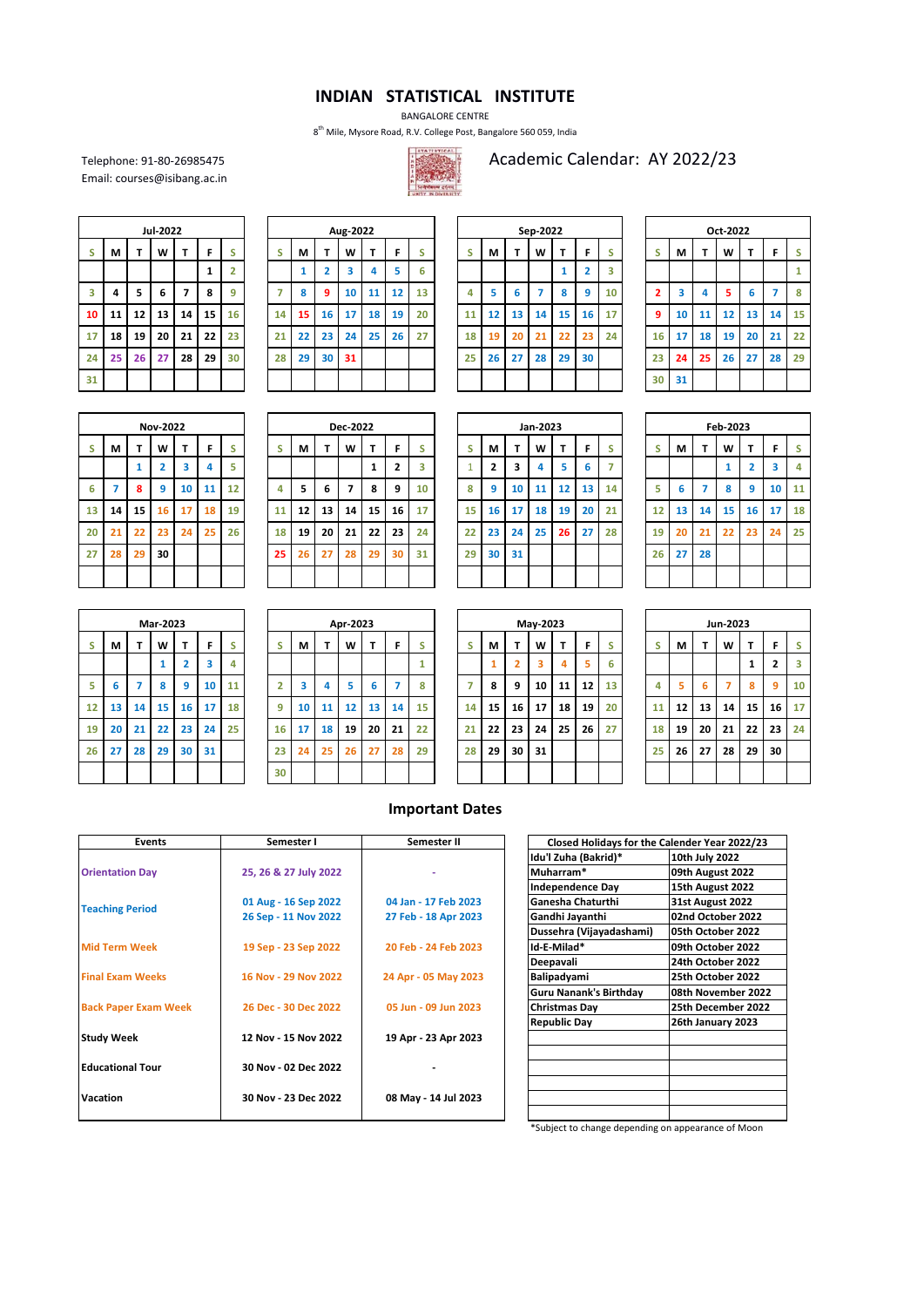## **INDIAN STATISTICAL INSTITUTE**

BANGALORE CENTRE

8th Mile, Mysore Road, R.V. College Post, Bangalore 560 059, India



Telephone: 91-80-26985475<br>
Email: courses@isibang.ac.in<br>
Email: courses@isibang.ac.in

Email: courses@isibang.ac.in

|    |    |    | Jul-2022 |                |    |                |
|----|----|----|----------|----------------|----|----------------|
| S  | M  | T  | W        | T              | F  | S              |
|    |    |    |          |                | 1  | $\overline{2}$ |
| 3  | 4  | 5  | 6        | $\overline{z}$ | 8  | 9              |
| 10 | 11 | 12 | 13       | 14             | 15 | 16             |
| 17 | 18 | 19 | 20       | 21             | 22 | 23             |
| 24 | 25 | 26 | 27       | 28             | 29 | 30             |
| 31 |    |    |          |                |    |                |

|    |    |    | Jul-2022 |    |    |                |    |    |           | Aug-2022 |    |    |    |    |    |    | Sep-2022 |    |    |    |    |    |    | Oct-2022 |    |    |    |
|----|----|----|----------|----|----|----------------|----|----|-----------|----------|----|----|----|----|----|----|----------|----|----|----|----|----|----|----------|----|----|----|
| S. | М  |    | W        |    |    | S              |    | М  |           | W        |    | F  |    |    | М  |    | W        | –  | F  |    |    | М  | -  | W        |    |    |    |
|    |    |    |          |    |    | $\overline{2}$ |    |    |           | 3        |    |    | 6  |    |    |    |          |    | h  | з  |    |    |    |          |    |    | 1  |
| 3  | 4  | 5  | 6        | 7  | 8  | 9              | 7  | 8  | $\bullet$ | 10       | 11 | 12 | 13 | 4  |    | ь. |          | 8  | 9  | 10 |    | 3  | 4  | 5        | 6  |    | 8  |
| 10 | 11 | 12 | 13       | 14 | 15 | 16             | 14 | 15 | 16        | 17       | 18 | 19 | 20 | 11 | 12 | 13 | 14       | 15 | 16 | 17 | 9  | 10 | 11 | 12       | 13 | 14 | 15 |
| 17 | 18 | 19 | 20       | 21 | 22 | 23             | 21 | 22 | 23        | 24       | 25 | 26 | 27 | 18 | 19 | 20 | 21       | 22 | 23 | 24 | 16 | 17 | 18 | 19       | 20 | 21 | 22 |
| 24 | 25 | 26 | 27       | 28 | 29 | 30             | 28 | 29 | 30        | 31       |    |    |    | 25 | 26 | 27 | 28       | 29 | 30 |    | 23 | 24 | 25 | 26       | 27 | 28 | 29 |
| 31 |    |    |          |    |    |                |    |    |           |          |    |    |    |    |    |    |          |    |    |    | 30 | 31 |    |          |    |    |    |
|    |    |    |          |    |    |                |    |    |           |          |    |    |    |    |    |    |          |    |    |    |    |    |    |          |    |    |    |

|    |    |    | Sep-2022       |    |                |                         |
|----|----|----|----------------|----|----------------|-------------------------|
| S  | M  | T  | W              | т  | F              | S                       |
|    |    |    |                | 1  | $\overline{2}$ | $\overline{\mathbf{3}}$ |
| 4  | 5  | 6  | $\overline{7}$ | 8  | 9              | 10                      |
| 11 | 12 | 13 | 14             | 15 | 16             | 17                      |
| 18 | 19 | 20 | 21             | 22 | 23             | 24                      |
| 25 | 26 | 27 | 28             | 29 | 30             |                         |
|    |    |    |                |    |                |                         |

|    | Oct-2022 |    |    |    |    |    |  |  |  |  |  |  |  |  |  |
|----|----------|----|----|----|----|----|--|--|--|--|--|--|--|--|--|
| S  | M        | T  | W  | T  | F  | S  |  |  |  |  |  |  |  |  |  |
|    |          |    |    |    |    | 1  |  |  |  |  |  |  |  |  |  |
| 2  | 3        | 4  | 5  | 6  | 7  | 8  |  |  |  |  |  |  |  |  |  |
| 9  | 10       | 11 | 12 | 13 | 14 | 15 |  |  |  |  |  |  |  |  |  |
| 16 | 17       | 18 | 19 | 20 | 21 | 22 |  |  |  |  |  |  |  |  |  |
| 23 | 24       | 25 | 26 | 27 | 28 | 29 |  |  |  |  |  |  |  |  |  |
| 30 | 31       |    |    |    |    |    |  |  |  |  |  |  |  |  |  |

|    | <b>Nov-2022</b>                            |              |                         |    |    |    |  |  |  |  |  |  |  |  |  |
|----|--------------------------------------------|--------------|-------------------------|----|----|----|--|--|--|--|--|--|--|--|--|
| S  | M                                          | T            | W                       | T  | F  | S  |  |  |  |  |  |  |  |  |  |
|    |                                            | $\mathbf{1}$ | $\overline{\mathbf{2}}$ | 3  | 4  | 5  |  |  |  |  |  |  |  |  |  |
| 6  | $\overline{7}$<br>10<br>12<br>11<br>8<br>9 |              |                         |    |    |    |  |  |  |  |  |  |  |  |  |
| 13 | 14                                         | 15           | 16                      | 17 | 18 | 19 |  |  |  |  |  |  |  |  |  |
| 20 | 21                                         | 22           | 23                      | 24 | 25 | 26 |  |  |  |  |  |  |  |  |  |
| 27 | 28                                         | 29           | 30                      |    |    |    |  |  |  |  |  |  |  |  |  |
|    |                                            |              |                         |    |    |    |  |  |  |  |  |  |  |  |  |

|    |    |    | <b>Nov-2022</b> |    |    |    |    |    |    | <b>Dec-2022</b> |    |    |    |    |    |    | Jan-2023 |    |    |    |    |    |    | Feb-2023 |    |    |    |
|----|----|----|-----------------|----|----|----|----|----|----|-----------------|----|----|----|----|----|----|----------|----|----|----|----|----|----|----------|----|----|----|
| s  | М  |    | W               |    |    | s  | c  | М  |    | W               |    | F  |    | c  | М  |    | W        | Ŧ  | F  |    |    | М  |    | W        |    | F  | S  |
|    |    |    |                 | 3  |    | 5  |    |    |    |                 |    |    | з  |    | ∍  |    | 4        |    | 6  |    |    |    |    |          |    |    | 4  |
| 6  |    | 8  | q               | 10 | 11 | 12 | 4  | 5  | 6  | 7               | 8  | 9  | 10 | 8  | 9  | 10 | 11       | 12 | 13 | 14 | 5  | 6  |    | 8        | 9  | 10 | 11 |
| 13 | 14 | 15 | 16              | 17 | 18 | 19 | 11 | 12 | 13 | 14              | 15 | 16 | 17 | 15 | 16 | 17 | 18       | 19 | 20 | 21 | 12 | 13 | 14 | 15       | 16 | 17 | 18 |
| 20 | 21 | 22 | 23              | 24 | 25 | 26 | 18 | 19 | 20 | 21              | 22 | 23 | 24 | 22 | 23 | 24 | 25       | 26 | 27 | 28 | 19 | 20 | 21 | 22       | 23 | 24 | 25 |
| 27 | 28 | 29 | 30              |    |    |    | 25 | 26 | 27 | 28              | 29 | 30 | 31 | 29 | 30 | 31 |          |    |    |    | 26 | 27 | 28 |          |    |    |    |
|    |    |    |                 |    |    |    |    |    |    |                 |    |    |    |    |    |    |          |    |    |    |    |    |    |          |    |    |    |
|    |    |    |                 |    |    |    |    |    |    |                 |    |    |    |    |    |    |          |    |    |    |    |    |    |          |    |    |    |

|              |                         |                         | Jan-2023 |    |    |    |
|--------------|-------------------------|-------------------------|----------|----|----|----|
| S            | M                       | T                       | W        | T  | F  | S  |
| $\mathbf{1}$ | $\overline{\mathbf{c}}$ | $\overline{\mathbf{3}}$ | 4        | 5  | 6  | 7  |
| 8            | 9                       | 10                      | 11       | 12 | 13 | 14 |
| 15           | 16                      | 17                      | 18       | 19 | 20 | 21 |
| 22           | 23                      | 24                      | 25       | 26 | 27 | 28 |
| 29           | 30                      | 31                      |          |    |    |    |
|              |                         |                         |          |    |    |    |

|    | Feb-2023                   |                |    |                         |                         |    |  |  |  |  |  |  |  |  |  |
|----|----------------------------|----------------|----|-------------------------|-------------------------|----|--|--|--|--|--|--|--|--|--|
| S  | T<br>W<br>F<br>M<br>T<br>S |                |    |                         |                         |    |  |  |  |  |  |  |  |  |  |
|    |                            |                | 1  | $\overline{\mathbf{2}}$ | $\overline{\mathbf{3}}$ | 4  |  |  |  |  |  |  |  |  |  |
| 5  | 6                          | $\overline{7}$ | 8  | 9                       | 10                      | 11 |  |  |  |  |  |  |  |  |  |
| 12 | 13                         | 14             | 15 | 16                      | 17                      | 18 |  |  |  |  |  |  |  |  |  |
| 19 | 20                         | 21             | 22 | 23                      | 24                      | 25 |  |  |  |  |  |  |  |  |  |
| 26 | 27                         | 28             |    |                         |                         |    |  |  |  |  |  |  |  |  |  |
|    |                            |                |    |                         |                         |    |  |  |  |  |  |  |  |  |  |

|    | Mar-2023                   |                |    |                |                         |    |  |  |  |  |  |  |  |  |  |
|----|----------------------------|----------------|----|----------------|-------------------------|----|--|--|--|--|--|--|--|--|--|
| S  | F<br>M<br>T<br>S<br>W<br>T |                |    |                |                         |    |  |  |  |  |  |  |  |  |  |
|    |                            |                | 1  | $\overline{2}$ | $\overline{\mathbf{3}}$ | 4  |  |  |  |  |  |  |  |  |  |
| 5  | 6                          | $\overline{7}$ | 8  | 9              | 10                      | 11 |  |  |  |  |  |  |  |  |  |
| 12 | 13                         | 14             | 15 | 16             | 17                      | 18 |  |  |  |  |  |  |  |  |  |
| 19 | 20                         | 21             | 22 | 23             | 24                      | 25 |  |  |  |  |  |  |  |  |  |
| 26 | 27                         | 28             | 29 | 30             | 31                      |    |  |  |  |  |  |  |  |  |  |
|    |                            |                |    |                |                         |    |  |  |  |  |  |  |  |  |  |

|    |    |    | Mar-2023 |                |    |    |    |    |    | Apr-2023 |    |    |    |    |    |    | May-2023 |    |    |    |    |    |              | Jun-2023 |    |    |    |
|----|----|----|----------|----------------|----|----|----|----|----|----------|----|----|----|----|----|----|----------|----|----|----|----|----|--------------|----------|----|----|----|
| S. | М  |    | W        | ÷              | F  | s  |    | M  |    | W        | Ŧ  | F  | c  | s  | М  |    | W        | т  | F  |    |    | М  | $\mathbf{r}$ | W        | Ŧ  | F. | s  |
|    |    |    |          | $\overline{2}$ | 3  | 4  |    |    |    |          |    |    |    |    |    |    | 3        |    | 5  | 6  |    |    |              |          |    | 2  | 3  |
| 5. | 6  |    | 8        | 9              | 10 | 11 |    | 3  | 4  | 5        | 6  |    | 8  |    | 8  | q  | 10       | 11 | 12 | 13 | 4  | 5. | 6            |          | 8  | 9  | 10 |
| 12 | 13 | 14 | 15       | 16             | 17 | 18 | 9  | 10 | 11 | 12       | 13 | 14 | 15 | 14 | 15 | 16 | 17       | 18 | 19 | 20 | 11 | 12 | 13           | 14       | 15 | 16 | 17 |
| 19 | 20 | 21 | 22       | 23             | 24 | 25 | 16 | 17 | 18 | 19       | 20 | 21 | 22 | 21 | 22 | 23 | 24       | 25 | 26 | 27 | 18 | 19 | 20           | 21       | 22 | 23 | 24 |
| 26 | 27 | 28 | 29       | 30             | 31 |    | 23 | 24 | 25 | 26       | 27 | 28 | 29 | 28 | 29 | 30 | 31       |    |    |    | 25 | 26 | 27           | 28       | 29 | 30 |    |
|    |    |    |          |                |    |    | 30 |    |    |          |    |    |    |    |    |    |          |    |    |    |    |    |              |          |    |    |    |

|    |              |                | May-2023 |    |    |                |
|----|--------------|----------------|----------|----|----|----------------|
| S  | M            | T              | W        | T  | F  | ś              |
|    | $\mathbf{1}$ | $\overline{2}$ | 3        | 4  | 5  | ŧ              |
| 7  | 8            | 9              | 10       | 11 | 12 | $\mathbf{1}$   |
| 14 | 15           | 16             | 17       | 18 | 19 | $\overline{a}$ |
| 21 | 22           | 23             | 24       | 25 | 26 | $\overline{2}$ |
| 28 | 29           | 30             | 31       |    |    |                |
|    |              |                |          |    |    |                |

|    | Jun-2023                   |    |    |              |                         |    |  |  |  |  |  |  |  |  |  |
|----|----------------------------|----|----|--------------|-------------------------|----|--|--|--|--|--|--|--|--|--|
| S  | T<br>M<br>W<br>S<br>T<br>F |    |    |              |                         |    |  |  |  |  |  |  |  |  |  |
|    |                            |    |    | $\mathbf{1}$ | $\overline{\mathbf{c}}$ | 3  |  |  |  |  |  |  |  |  |  |
| 4  | 5                          | 6  | 7  | 8            | 9                       | 10 |  |  |  |  |  |  |  |  |  |
| 11 | 12                         | 13 | 14 | 15           | 16                      | 17 |  |  |  |  |  |  |  |  |  |
| 18 | 19                         | 20 | 21 | 22           | 23                      | 24 |  |  |  |  |  |  |  |  |  |
| 25 | 26                         | 27 | 28 | 29           | 30                      |    |  |  |  |  |  |  |  |  |  |
|    |                            |    |    |              |                         |    |  |  |  |  |  |  |  |  |  |

## **Important Dates**

| <b>Events</b>               | Semester I            | Semester II          | Closed Holidays for the Calender Year 2022/23 |                    |
|-----------------------------|-----------------------|----------------------|-----------------------------------------------|--------------------|
|                             |                       |                      | Idu'l Zuha (Bakrid)*                          | 10th July 2022     |
| <b>Orientation Day</b>      | 25, 26 & 27 July 2022 |                      | Muharram*                                     | 09th August 2022   |
|                             |                       |                      | <b>Independence Day</b>                       | 15th August 2022   |
| <b>Teaching Period</b>      | 01 Aug - 16 Sep 2022  | 04 Jan - 17 Feb 2023 | Ganesha Chaturthi                             | 31st August 2022   |
|                             | 26 Sep - 11 Nov 2022  | 27 Feb - 18 Apr 2023 | Gandhi Jayanthi                               | 02nd October 2022  |
|                             |                       |                      | Dussehra (Vijayadashami)                      | 105th October 2022 |
| <b>Mid Term Week</b>        | 19 Sep - 23 Sep 2022  | 20 Feb - 24 Feb 2023 | Id-E-Milad*                                   | 109th October 2022 |
|                             |                       |                      | Deepavali                                     | 24th October 2022  |
| <b>Final Exam Weeks</b>     | 16 Nov - 29 Nov 2022  | 24 Apr - 05 May 2023 | Balipadyami                                   | 25th October 2022  |
|                             |                       |                      | Guru Nanank's Birthday                        | 08th November 2022 |
| <b>Back Paper Exam Week</b> | 26 Dec - 30 Dec 2022  | 05 Jun - 09 Jun 2023 | <b>Christmas Day</b>                          | 25th December 2022 |
|                             |                       |                      | <b>Republic Day</b>                           | 26th January 2023  |
| <b>Study Week</b>           | 12 Nov - 15 Nov 2022  | 19 Apr - 23 Apr 2023 |                                               |                    |
|                             |                       |                      |                                               |                    |
| <b>Educational Tour</b>     | 30 Nov - 02 Dec 2022  |                      |                                               |                    |
|                             |                       |                      |                                               |                    |
| Vacation                    | 30 Nov - 23 Dec 2022  | 08 May - 14 Jul 2023 |                                               |                    |
|                             |                       |                      |                                               |                    |

| Closed Holidays for the Calender Year 2022/23 |                         |  |  |  |
|-----------------------------------------------|-------------------------|--|--|--|
| Idu'l Zuha (Bakrid)*                          | 10th July 2022          |  |  |  |
| Muharram*                                     | 09th August 2022        |  |  |  |
| <b>Independence Day</b>                       | 15th August 2022        |  |  |  |
| <b>Ganesha Chaturthi</b>                      | <b>31st August 2022</b> |  |  |  |
| Gandhi Jayanthi                               | 02nd October 2022       |  |  |  |
| Dussehra (Vijayadashami)                      | 05th October 2022       |  |  |  |
| Id-E-Milad*                                   | 09th October 2022       |  |  |  |
| Deepavali                                     | 24th October 2022       |  |  |  |
| Balipadyami                                   | 25th October 2022       |  |  |  |
| <b>Guru Nanank's Birthday</b>                 | 08th November 2022      |  |  |  |
| Christmas Day                                 | 25th December 2022      |  |  |  |
| <b>Republic Day</b>                           | 26th January 2023       |  |  |  |
|                                               |                         |  |  |  |
|                                               |                         |  |  |  |
|                                               |                         |  |  |  |
|                                               |                         |  |  |  |
|                                               |                         |  |  |  |
|                                               |                         |  |  |  |

\*Subject to change depending on appearance of Moon